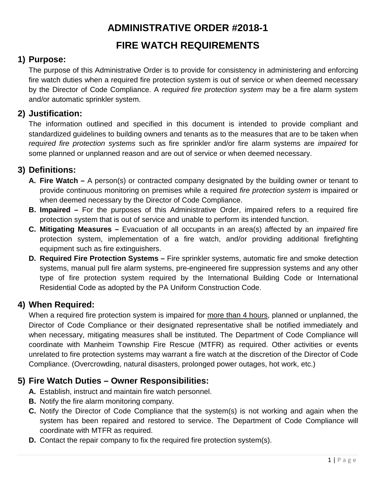## **ADMINISTRATIVE ORDER #2018-1**

#### **FIRE WATCH REQUIREMENTS**

#### **1) Purpose:**

The purpose of this Administrative Order is to provide for consistency in administering and enforcing fire watch duties when a required fire protection system is out of service or when deemed necessary by the Director of Code Compliance. A *required fire protection system* may be a fire alarm system and/or automatic sprinkler system.

#### **2) Justification:**

The information outlined and specified in this document is intended to provide compliant and standardized guidelines to building owners and tenants as to the measures that are to be taken when *required fire protection systems* such as fire sprinkler and/or fire alarm systems are *impaired* for some planned or unplanned reason and are out of service or when deemed necessary.

#### **3) Definitions:**

- **A. Fire Watch –** A person(s) or contracted company designated by the building owner or tenant to provide continuous monitoring on premises while a required *fire protection system* is impaired or when deemed necessary by the Director of Code Compliance.
- **B. Impaired –** For the purposes of this Administrative Order, impaired refers to a required fire protection system that is out of service and unable to perform its intended function.
- **C. Mitigating Measures –** Evacuation of all occupants in an area(s) affected by an *impaired* fire protection system, implementation of a fire watch, and/or providing additional firefighting equipment such as fire extinguishers.
- **D. Required Fire Protection Systems –** Fire sprinkler systems, automatic fire and smoke detection systems, manual pull fire alarm systems, pre-engineered fire suppression systems and any other type of fire protection system required by the International Building Code or International Residential Code as adopted by the PA Uniform Construction Code.

#### **4) When Required:**

When a required fire protection system is impaired for more than 4 hours, planned or unplanned, the Director of Code Compliance or their designated representative shall be notified immediately and when necessary, mitigating measures shall be instituted. The Department of Code Compliance will coordinate with Manheim Township Fire Rescue (MTFR) as required. Other activities or events unrelated to fire protection systems may warrant a fire watch at the discretion of the Director of Code Compliance. (Overcrowding, natural disasters, prolonged power outages, hot work, etc.)

#### **5) Fire Watch Duties – Owner Responsibilities:**

- **A.** Establish, instruct and maintain fire watch personnel.
- **B.** Notify the fire alarm monitoring company.
- **C.** Notify the Director of Code Compliance that the system(s) is not working and again when the system has been repaired and restored to service. The Department of Code Compliance will coordinate with MTFR as required.
- **D.** Contact the repair company to fix the required fire protection system(s).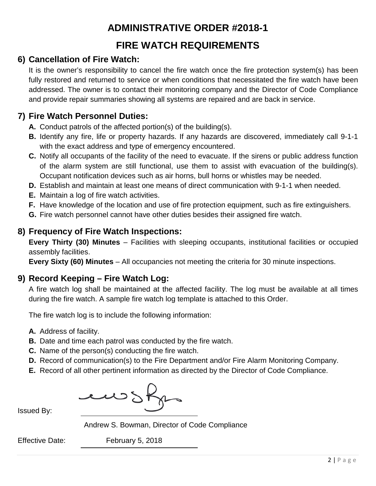#### **ADMINISTRATIVE ORDER #2018-1**

#### **FIRE WATCH REQUIREMENTS**

#### **6) Cancellation of Fire Watch:**

It is the owner's responsibility to cancel the fire watch once the fire protection system(s) has been fully restored and returned to service or when conditions that necessitated the fire watch have been addressed. The owner is to contact their monitoring company and the Director of Code Compliance and provide repair summaries showing all systems are repaired and are back in service.

#### **7) Fire Watch Personnel Duties:**

- **A.** Conduct patrols of the affected portion(s) of the building(s).
- **B.** Identify any fire, life or property hazards. If any hazards are discovered, immediately call 9-1-1 with the exact address and type of emergency encountered.
- **C.** Notify all occupants of the facility of the need to evacuate. If the sirens or public address function of the alarm system are still functional, use them to assist with evacuation of the building(s). Occupant notification devices such as air horns, bull horns or whistles may be needed.
- **D.** Establish and maintain at least one means of direct communication with 9-1-1 when needed.
- **E.** Maintain a log of fire watch activities.
- **F.** Have knowledge of the location and use of fire protection equipment, such as fire extinguishers.
- **G.** Fire watch personnel cannot have other duties besides their assigned fire watch.

#### **8) Frequency of Fire Watch Inspections:**

**Every Thirty (30) Minutes** – Facilities with sleeping occupants, institutional facilities or occupied assembly facilities.

**Every Sixty (60) Minutes** – All occupancies not meeting the criteria for 30 minute inspections.

#### **9) Record Keeping – Fire Watch Log:**

A fire watch log shall be maintained at the affected facility. The log must be available at all times during the fire watch. A sample fire watch log template is attached to this Order.

The fire watch log is to include the following information:

- **A.** Address of facility.
- **B.** Date and time each patrol was conducted by the fire watch.
- **C.** Name of the person(s) conducting the fire watch.
- **D.** Record of communication(s) to the Fire Department and/or Fire Alarm Monitoring Company.
- **E.** Record of all other pertinent information as directed by the Director of Code Compliance.

ewsf

Issued By:

Andrew S. Bowman, Director of Code Compliance

Effective Date: February 5, 2018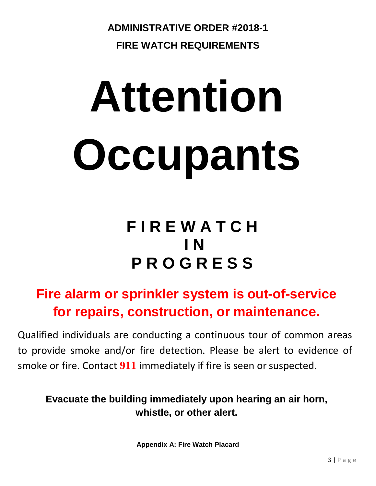**ADMINISTRATIVE ORDER #2018-1 FIRE WATCH REQUIREMENTS**

# **Attention Occupants**

## **F I R E W A T C H I N P R O G R E S S**

### **Fire alarm or sprinkler system is out-of-service for repairs, construction, or maintenance.**

Qualified individuals are conducting a continuous tour of common areas to provide smoke and/or fire detection. Please be alert to evidence of smoke or fire. Contact 911 immediately if fire is seen or suspected.

**Evacuate the building immediately upon hearing an air horn, whistle, or other alert.**

**Appendix A: Fire Watch Placard**